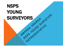# NSPS YOUNG<br>SURVEYORS<br>AMANDA GUNG SURVEYOR SURVEYORS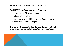### NSPS YOUNG SURVEYOR DEFINITION

The NSPS Young Surveyors are defined by :

- surveyors aged 35 years or under,
- students of surveying
- or those surveyors within 10 years of graduating from a Bachelor or Master's Degree.

Every surveyor is welcome to join to the group; however the focus is to provide support for those individuals that meet the definition.

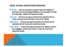#### NSPS YOUNG SURVEYORS MISSION:

- Promote Ensure young surveyors have the ability to promote the surveying profession to the public by way of materials, ideas and opportunities.
- Connect Ensure young surveyors the opportunity to meet, discuss and provide a venue for ideas.
- Represent Ensure young surveyors are present and represented at local and national levels.
- Participate Ensure young surveyors the opportunity to be engaged, active and have a voice at local and national levels.

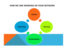#### HOW WE ARE WORKING ON YOUR NETWORK

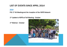## LIST OF EVENTS SINCE APRIL 2014

2014

FIG 1<sup>st</sup> NA Meeting and the inception of the NSPS Network

1<sup>st</sup> Update to NSPS at Fall Meeting - October

1st Webinar - October

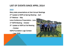# LIST OF EVENTS SINCE APRIL 2014

#### 2015

Many state presentations at their Annual Meetings 2<sup>nd</sup> Update to NSPS at Spring Meeting - April 2nd Webinar – May Leica Conference Presentation - June 1<sup>st</sup> NSPS Meeting - October 3rd Update to NSPS at Fall Meeting – October

NSPS Foundation Logo Contest

– Late 2105

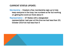#### CURRENT STATUS UPDATE:

Membership – Created a free membership sign-up to help keep everyone in the loop; low numbers so far but working on getting the word out there about it

Representation – 37 States with a designated representative; Last year at this time we had less than 20; October 2014 we had less than 5

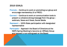#### 2016 GOALS:

- Promote Continue to work on promoting our group and encourage membership (It is FREE!)
- Connect Continue to work on communication tools to present a cohesive strong message from the group – webinars, News and Views, Social Media
- Represent 100% State participation with designated representative
- Participate Approach the Board of Directors at the NSPS Spring Meeting to become an Affiliate Group and request a non-voting seat on the Board